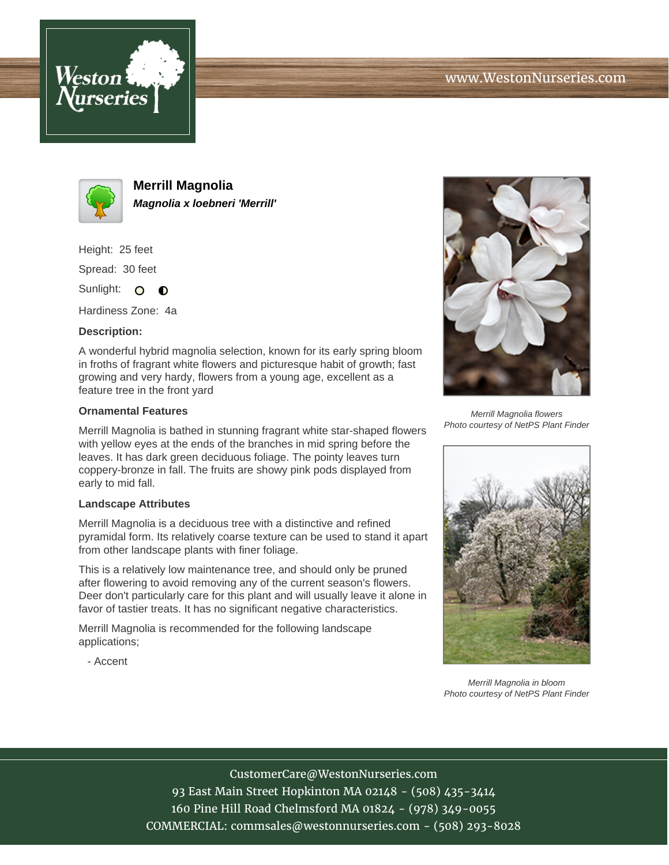



**Merrill Magnolia Magnolia x loebneri 'Merrill'**

Height: 25 feet Spread: 30 feet

Sunlight: O **O** 

Hardiness Zone: 4a

## **Description:**

A wonderful hybrid magnolia selection, known for its early spring bloom in froths of fragrant white flowers and picturesque habit of growth; fast growing and very hardy, flowers from a young age, excellent as a feature tree in the front yard

## **Ornamental Features**

Merrill Magnolia is bathed in stunning fragrant white star-shaped flowers with yellow eyes at the ends of the branches in mid spring before the leaves. It has dark green deciduous foliage. The pointy leaves turn coppery-bronze in fall. The fruits are showy pink pods displayed from early to mid fall.

## **Landscape Attributes**

Merrill Magnolia is a deciduous tree with a distinctive and refined pyramidal form. Its relatively coarse texture can be used to stand it apart from other landscape plants with finer foliage.

This is a relatively low maintenance tree, and should only be pruned after flowering to avoid removing any of the current season's flowers. Deer don't particularly care for this plant and will usually leave it alone in favor of tastier treats. It has no significant negative characteristics.

Merrill Magnolia is recommended for the following landscape applications;

- Accent



Merrill Magnolia flowers Photo courtesy of NetPS Plant Finder



Merrill Magnolia in bloom Photo courtesy of NetPS Plant Finder

CustomerCare@WestonNurseries.com 93 East Main Street Hopkinton MA 02148 - (508) 435-3414 160 Pine Hill Road Chelmsford MA 01824 - (978) 349-0055 COMMERCIAL: commsales@westonnurseries.com - (508) 293-8028